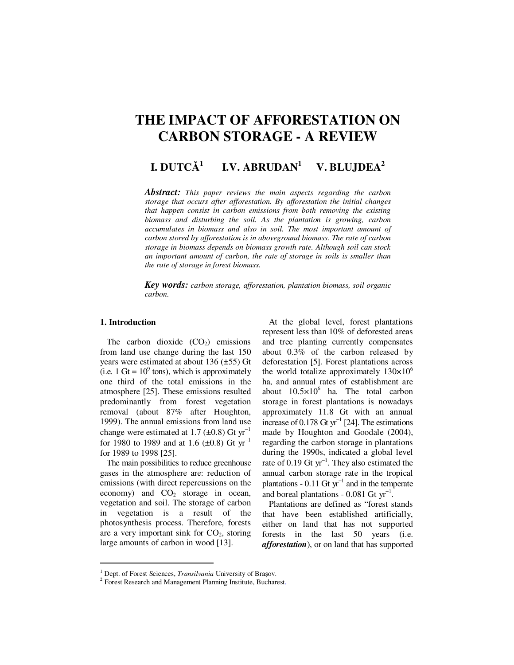# **THE IMPACT OF AFFORESTATION ON CARBON STORAGE - A REVIEW**

#### **I. DUTC**Ă **1 I.V. ABRUDAN<sup>1</sup> V. BLUJDEA<sup>2</sup>**

*Abstract: This paper reviews the main aspects regarding the carbon storage that occurs after afforestation. By afforestation the initial changes that happen consist in carbon emissions from both removing the existing biomass and disturbing the soil. As the plantation is growing, carbon accumulates in biomass and also in soil. The most important amount of carbon stored by afforestation is in aboveground biomass. The rate of carbon storage in biomass depends on biomass growth rate. Although soil can stock an important amount of carbon, the rate of storage in soils is smaller than the rate of storage in forest biomass.* 

*Key words: carbon storage, afforestation, plantation biomass, soil organic carbon.*

## **1. Introduction**

 $\overline{a}$ 

The carbon dioxide  $(CO<sub>2</sub>)$  emissions from land use change during the last 150 years were estimated at about 136 (±55) Gt (i.e.  $1 \text{ Gt} = 10^9 \text{ tons}$ ), which is approximately one third of the total emissions in the atmosphere [25]. These emissions resulted predominantly from forest vegetation removal (about 87% after Houghton, 1999). The annual emissions from land use change were estimated at 1.7 ( $\pm$ 0.8) Gt yr<sup>-1</sup> for 1980 to 1989 and at 1.6 (±0.8) Gt  $yr^{-1}$ for 1989 to 1998 [25].

The main possibilities to reduce greenhouse gases in the atmosphere are: reduction of emissions (with direct repercussions on the economy) and  $CO<sub>2</sub>$  storage in ocean, vegetation and soil. The storage of carbon in vegetation is a result of the photosynthesis process. Therefore, forests are a very important sink for  $CO<sub>2</sub>$ , storing large amounts of carbon in wood [13].

At the global level, forest plantations represent less than 10% of deforested areas and tree planting currently compensates about 0.3% of the carbon released by deforestation [5]. Forest plantations across the world totalize approximately  $130\times10^{6}$ ha, and annual rates of establishment are about  $10.5 \times 10^6$  ha. The total carbon storage in forest plantations is nowadays approximately 11.8 Gt with an annual increase of 0.178 Gt  $yr^{-1}$  [24]. The estimations made by Houghton and Goodale (2004), regarding the carbon storage in plantations during the 1990s, indicated a global level rate of 0.19 Gt yr<sup>-1</sup>. They also estimated the annual carbon storage rate in the tropical plantations -  $0.11$  Gt yr<sup>-1</sup> and in the temperate and boreal plantations - 0.081 Gt yr<sup>−</sup><sup>1</sup> .

Plantations are defined as "forest stands that have been established artificially, either on land that has not supported forests in the last 50 years (i.e. *afforestation*), or on land that has supported

<sup>&</sup>lt;sup>1</sup> Dept. of Forest Sciences, *Transilvania* University of Braşov.

<sup>&</sup>lt;sup>2</sup> Forest Research and Management Planning Institute, Bucharest.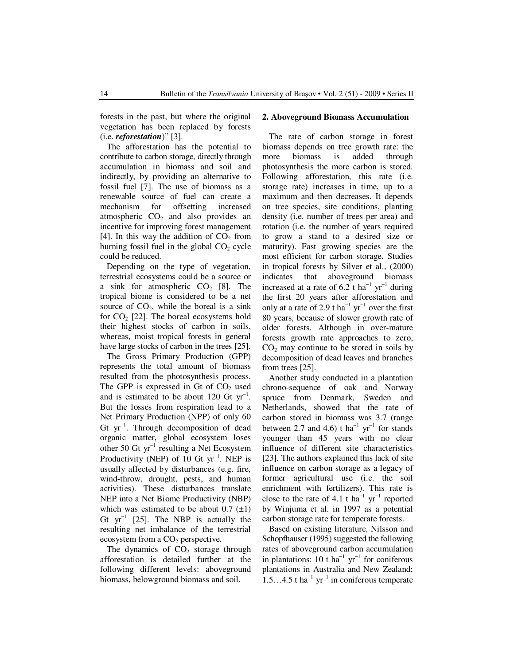forests in the past, but where the original vegetation has been replaced by forests (i.e. *reforestation*)" [3].

The afforestation has the potential to contribute to carbon storage, directly through accumulation in biomass and soil and indirectly, by providing an alternative to fossil fuel [7]. The use of biomass as a renewable source of fuel can create a mechanism for offsetting increased atmospheric  $CO<sub>2</sub>$  and also provides an incentive for improving forest management [4]. In this way the addition of  $CO<sub>2</sub>$  from burning fossil fuel in the global  $CO<sub>2</sub>$  cycle could be reduced.

Depending on the type of vegetation, terrestrial ecosystems could be a source or a sink for atmospheric  $CO<sub>2</sub>$  [8]. The tropical biome is considered to be a net source of  $CO<sub>2</sub>$ , while the boreal is a sink for  $CO<sub>2</sub>$  [22]. The boreal ecosystems hold their highest stocks of carbon in soils, whereas, moist tropical forests in general have large stocks of carbon in the trees [25].

The Gross Primary Production (GPP) represents the total amount of biomass resulted from the photosynthesis process. The GPP is expressed in Gt of  $CO<sub>2</sub>$  used and is estimated to be about 120 Gt  $yr^{-1}$ . But the losses from respiration lead to a Net Primary Production (NPP) of only 60 Gt yr<sup>−</sup><sup>1</sup> . Through decomposition of dead organic matter, global ecosystem loses other 50 Gt yr<sup>−</sup><sup>1</sup> resulting a Net Ecosystem Productivity (NEP) of  $10$  Gt yr<sup>-1</sup>. NEP is usually affected by disturbances (e.g. fire, wind-throw, drought, pests, and human activities). These disturbances translate NEP into a Net Biome Productivity (NBP) which was estimated to be about  $0.7$  ( $\pm$ 1) Gt  $yr^{-1}$  [25]. The NBP is actually the resulting net imbalance of the terrestrial ecosystem from a  $CO<sub>2</sub>$  perspective.

The dynamics of  $CO<sub>2</sub>$  storage through afforestation is detailed further at the following different levels: aboveground biomass, belowground biomass and soil.

#### **2. Aboveground Biomass Accumulation**

The rate of carbon storage in forest biomass depends on tree growth rate: the more biomass is added through photosynthesis the more carbon is stored. Following afforestation, this rate (i.e. storage rate) increases in time, up to a maximum and then decreases. It depends on tree species, site conditions, planting density (i.e. number of trees per area) and rotation (i.e. the number of years required to grow a stand to a desired size or maturity). Fast growing species are the most efficient for carbon storage. Studies in tropical forests by Silver et al., (2000) indicates that aboveground biomass increased at a rate of  $6.2$  t ha<sup>-1</sup> yr<sup>-1</sup> during the first 20 years after afforestation and only at a rate of 2.9 t ha<sup>-1</sup> yr<sup>-1</sup> over the first 80 years, because of slower growth rate of older forests. Although in over-mature forests growth rate approaches to zero,  $CO<sub>2</sub>$  may continue to be stored in soils by decomposition of dead leaves and branches from trees [25].

Another study conducted in a plantation chrono-sequence of oak and Norway spruce from Denmark, Sweden and Netherlands, showed that the rate of carbon stored in biomass was 3.7 (range between 2.7 and 4.6) t ha<sup>-1</sup> yr<sup>-1</sup> for stands younger than 45 years with no clear influence of different site characteristics [23]. The authors explained this lack of site influence on carbon storage as a legacy of former agricultural use (i.e. the soil enrichment with fertilizers). This rate is close to the rate of 4.1 t  $ha^{-1}$  yr<sup>-1</sup> reported by Winjuma et al. in 1997 as a potential carbon storage rate for temperate forests.

Based on existing literature, Nilsson and Schopfhauser (1995) suggested the following rates of aboveground carbon accumulation in plantations:  $10$  t ha<sup>-1</sup> yr<sup>-1</sup> for coniferous plantations in Australia and New Zealand;  $1.5...4.5$  t ha<sup>-1</sup> yr<sup>-1</sup> in coniferous temperate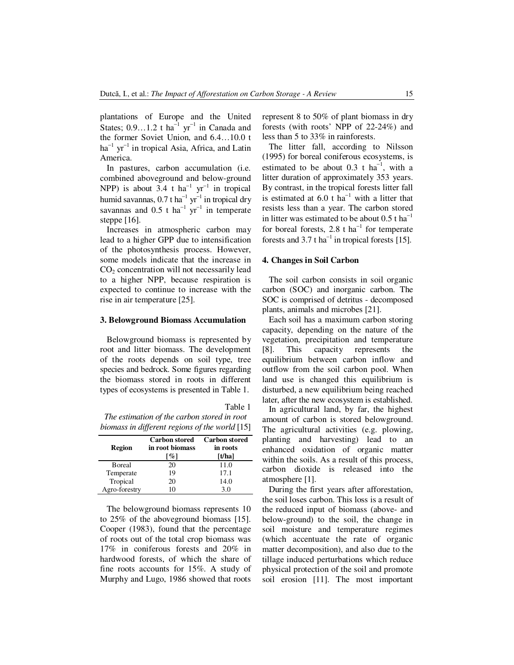plantations of Europe and the United States;  $0.9...1.2$  t ha<sup>-1</sup> yr<sup>-1</sup> in Canada and the former Soviet Union, and 6.4…10.0 t ha<sup>-1</sup> yr<sup>-1</sup> in tropical Asia, Africa, and Latin America.

In pastures, carbon accumulation (i.e. combined aboveground and below-ground NPP) is about  $3.4 \text{ t}$  ha<sup>-1</sup> yr<sup>-1</sup> in tropical humid savannas,  $0.7$  t ha<sup>-1</sup> yr<sup>-1</sup> in tropical dry savannas and  $0.5$  t ha<sup>-1</sup> yr<sup>-1</sup> in temperate steppe [16].

Increases in atmospheric carbon may lead to a higher GPP due to intensification of the photosynthesis process. However, some models indicate that the increase in  $CO<sub>2</sub>$  concentration will not necessarily lead to a higher NPP, because respiration is expected to continue to increase with the rise in air temperature [25].

#### **3. Belowground Biomass Accumulation**

Belowground biomass is represented by root and litter biomass. The development of the roots depends on soil type, tree species and bedrock. Some figures regarding the biomass stored in roots in different types of ecosystems is presented in Table 1.

Table 1 *The estimation of the carbon stored in root biomass in different regions of the world* [15]

| <b>Region</b>  | <b>Carbon stored</b><br>in root biomass<br>[%] | <b>Carbon stored</b><br>in roots<br>[t/ha] |
|----------------|------------------------------------------------|--------------------------------------------|
| <b>B</b> oreal | 20                                             | 11.0                                       |
| Temperate      | 19                                             | 17.1                                       |
| Tropical       | 20                                             | 14.0                                       |
| Agro-forestry  | 10                                             | 3.0                                        |

The belowground biomass represents 10 to 25% of the aboveground biomass [15]. Cooper (1983), found that the percentage of roots out of the total crop biomass was 17% in coniferous forests and 20% in hardwood forests, of which the share of fine roots accounts for 15%. A study of Murphy and Lugo, 1986 showed that roots

represent 8 to 50% of plant biomass in dry forests (with roots' NPP of 22-24%) and less than 5 to 33% in rainforests.

The litter fall, according to Nilsson (1995) for boreal coniferous ecosystems, is estimated to be about 0.3 t  $ha^{-1}$ , with a litter duration of approximately 353 years. By contrast, in the tropical forests litter fall is estimated at  $6.0$  t ha<sup>-1</sup> with a litter that resists less than a year. The carbon stored in litter was estimated to be about  $0.5$  t ha<sup>-1</sup> for boreal forests, 2.8 t  $ha^{-1}$  for temperate forests and 3.7 t ha<sup>-1</sup> in tropical forests [15].

## **4. Changes in Soil Carbon**

The soil carbon consists in soil organic carbon (SOC) and inorganic carbon. The SOC is comprised of detritus - decomposed plants, animals and microbes [21].

Each soil has a maximum carbon storing capacity, depending on the nature of the vegetation, precipitation and temperature [8]. This capacity represents the equilibrium between carbon inflow and outflow from the soil carbon pool. When land use is changed this equilibrium is disturbed, a new equilibrium being reached later, after the new ecosystem is established.

In agricultural land, by far, the highest amount of carbon is stored belowground. The agricultural activities (e.g. plowing, planting and harvesting) lead to an enhanced oxidation of organic matter within the soils. As a result of this process, carbon dioxide is released into the atmosphere [1].

During the first years after afforestation, the soil loses carbon. This loss is a result of the reduced input of biomass (above- and below-ground) to the soil, the change in soil moisture and temperature regimes (which accentuate the rate of organic matter decomposition), and also due to the tillage induced perturbations which reduce physical protection of the soil and promote soil erosion [11]. The most important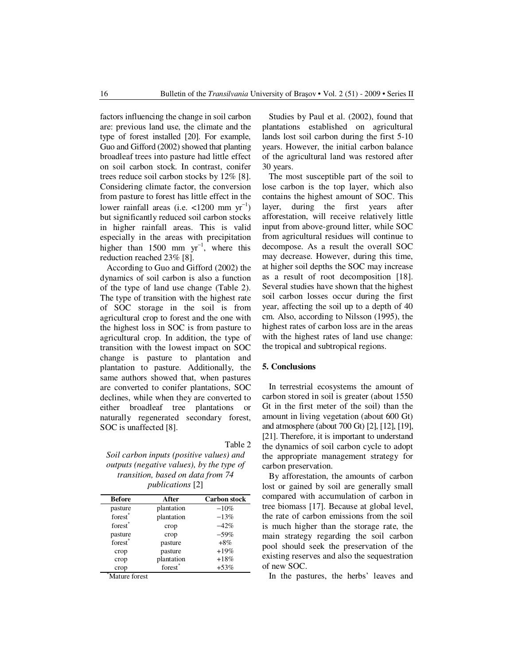factors influencing the change in soil carbon are: previous land use, the climate and the type of forest installed [20]. For example, Guo and Gifford (2002) showed that planting broadleaf trees into pasture had little effect on soil carbon stock. In contrast, conifer trees reduce soil carbon stocks by 12% [8]. Considering climate factor, the conversion from pasture to forest has little effect in the lower rainfall areas (i.e. <1200 mm  $yr^{-1}$ ) but significantly reduced soil carbon stocks in higher rainfall areas. This is valid especially in the areas with precipitation higher than 1500 mm  $yr^{-1}$ , where this reduction reached 23% [8].

According to Guo and Gifford (2002) the dynamics of soil carbon is also a function of the type of land use change (Table 2). The type of transition with the highest rate of SOC storage in the soil is from agricultural crop to forest and the one with the highest loss in SOC is from pasture to agricultural crop. In addition, the type of transition with the lowest impact on SOC change is pasture to plantation and plantation to pasture. Additionally, the same authors showed that, when pastures are converted to conifer plantations, SOC declines, while when they are converted to either broadleaf tree plantations or naturally regenerated secondary forest, SOC is unaffected [8].

Table 2

*Soil carbon inputs (positive values) and outputs (negative values), by the type of transition, based on data from 74 publications* [2]

| <b>Before</b>       | After               | <b>Carbon stock</b> |
|---------------------|---------------------|---------------------|
| pasture             | plantation          | $-10%$              |
| forest <sup>*</sup> | plantation          | $-13%$              |
| forest <sup>*</sup> | crop                | $-42%$              |
| pasture             | crop                | $-59%$              |
| forest <sup>*</sup> | pasture             | $+8\%$              |
| crop                | pasture             | $+19%$              |
| crop                | plantation          | $+18%$              |
| crop                | forest <sup>*</sup> | $+53%$              |

Mature forest

Studies by Paul et al. (2002), found that plantations established on agricultural lands lost soil carbon during the first 5-10 years. However, the initial carbon balance of the agricultural land was restored after 30 years.

The most susceptible part of the soil to lose carbon is the top layer, which also contains the highest amount of SOC. This layer, during the first years after afforestation, will receive relatively little input from above-ground litter, while SOC from agricultural residues will continue to decompose. As a result the overall SOC may decrease. However, during this time, at higher soil depths the SOC may increase as a result of root decomposition [18]. Several studies have shown that the highest soil carbon losses occur during the first year, affecting the soil up to a depth of 40 cm. Also, according to Nilsson (1995), the highest rates of carbon loss are in the areas with the highest rates of land use change: the tropical and subtropical regions.

#### **5. Conclusions**

In terrestrial ecosystems the amount of carbon stored in soil is greater (about 1550 Gt in the first meter of the soil) than the amount in living vegetation (about 600 Gt) and atmosphere (about 700 Gt) [2], [12], [19], [21]. Therefore, it is important to understand the dynamics of soil carbon cycle to adopt the appropriate management strategy for carbon preservation.

By afforestation, the amounts of carbon lost or gained by soil are generally small compared with accumulation of carbon in tree biomass [17]. Because at global level, the rate of carbon emissions from the soil is much higher than the storage rate, the main strategy regarding the soil carbon pool should seek the preservation of the existing reserves and also the sequestration of new SOC.

In the pastures, the herbs' leaves and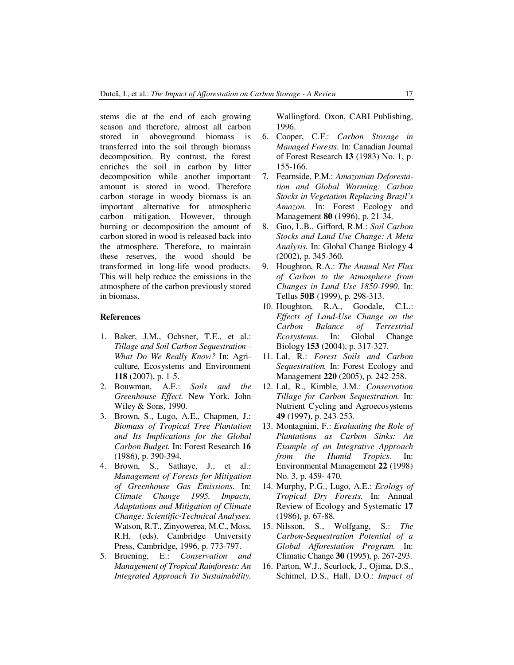stems die at the end of each growing season and therefore, almost all carbon stored in aboveground biomass is transferred into the soil through biomass decomposition. By contrast, the forest enriches the soil in carbon by litter decomposition while another important amount is stored in wood. Therefore carbon storage in woody biomass is an important alternative for atmospheric carbon mitigation. However, through burning or decomposition the amount of carbon stored in wood is released back into the atmosphere. Therefore, to maintain these reserves, the wood should be transformed in long-life wood products. This will help reduce the emissions in the atmosphere of the carbon previously stored in biomass.

#### **References**

- 1. Baker, J.M., Ochsner, T.E., et al.: *Tillage and Soil Carbon Sequestration - What Do We Really Know?* In: Agriculture, Ecosystems and Environment **118** (2007), p. 1-5.
- 2. Bouwman, A.F.: *Soils and the Greenhouse Effect.* New York. John Wiley & Sons, 1990.
- 3. Brown, S., Lugo, A.E., Chapmen, J.: *Biomass of Tropical Tree Plantation and Its Implications for the Global Carbon Budget.* In: Forest Research **16**  (1986), p. 390-394.
- 4. Brown, S., Sathaye, J., et al.: *Management of Forests for Mitigation of Greenhouse Gas Emissions*. In: *Climate Change 1995. Impacts, Adaptations and Mitigation of Climate Change: Scientific-Technical Analyses.* Watson, R.T., Zinyowerea, M.C., Moss, R.H. (eds). Cambridge University Press, Cambridge, 1996, p. 773-797.
- 5. Bruening, E.: *Conservation and Management of Tropical Rainforests: An Integrated Approach To Sustainability.*

Wallingford. Oxon, CABI Publishing, 1996.

- 6. Cooper, C.F.: *Carbon Storage in Managed Forests.* In: Canadian Journal of Forest Research **13** (1983) No. 1, p. 155-166.
- 7. Fearnside, P.M.: *Amazonian Deforestation and Global Warming: Carbon Stocks in Vegetation Replacing Brazil's Amazon.* In: Forest Ecology and Management **80** (1996), p. 21-34.
- 8. Guo, L.B., Gifford, R.M.: *Soil Carbon Stocks and Land Use Change: A Meta Analysis.* In: Global Change Biology **4**  (2002), p. 345-360.
- 9. Houghton, R.A.: *The Annual Net Flux of Carbon to the Atmosphere from Changes in Land Use 1850-1990.* In: Tellus **50B** (1999), p. 298-313.
- 10. Houghton, R.A., Goodale, C.L.: *Effects of Land-Use Change on the Carbon Balance of Terrestrial Ecosystems.* In: Global Change Biology **153** (2004), p. 317-327.
- 11. Lal, R.: *Forest Soils and Carbon Sequestration.* In: Forest Ecology and Management **220** (2005), p. 242-258.
- 12. Lal, R., Kimble, J.M.: *Conservation Tillage for Carbon Sequestration.* In: Nutrient Cycling and Agroecosystems **49** (1997), p. 243-253.
- 13. Montagnini, F.: *Evaluating the Role of Plantations as Carbon Sinks: An Example of an Integrative Approach from the Humid Tropics.* In: Environmental Management **22** (1998) No. 3, p. 459- 470.
- 14. Murphy, P.G., Lugo, A.E.: *Ecology of Tropical Dry Forests.* In: Annual Review of Ecology and Systematic **17** (1986), p. 67-88.
- 15. Nilsson, S., Wolfgang, S.: *The Carbon-Sequestration Potential of a Global Afforestation Program.* In: Climatic Change **30** (1995), p. 267-293.
- 16. Parton, W.J., Scurlock, J., Ojima, D.S., Schimel, D.S., Hall, D.O.: *Impact of*